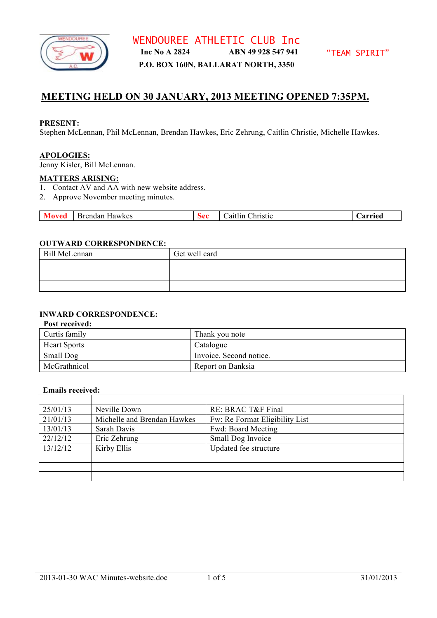

## **MEETING HELD ON 30 JANUARY, 2013 MEETING OPENED 7:35PM.**

#### **PRESENT:**

Stephen McLennan, Phil McLennan, Brendan Hawkes, Eric Zehrung, Caitlin Christie, Michelle Hawkes.

#### **APOLOGIES:**

Jenny Kisler, Bill McLennan.

#### **MATTERS ARISING:**

- 1. Contact AV and AA with new website address.
- 2. Approve November meeting minutes.

| Brendan Hawkes | $\overline{\mathbf{v}}$ | $\mathbf{a}$ | Christie<br>aitlin | Arried |
|----------------|-------------------------|--------------|--------------------|--------|
|----------------|-------------------------|--------------|--------------------|--------|

#### **OUTWARD CORRESPONDENCE:**

| Bill McLennan | Get well card |
|---------------|---------------|
|               |               |
|               |               |
|               |               |

## **INWARD CORRESPONDENCE:**

#### **Post received:**

| Curtis family       | Thank you note          |
|---------------------|-------------------------|
| <b>Heart Sports</b> | Catalogue               |
| Small Dog           | Invoice. Second notice. |
| McGrathnicol        | Report on Banksia       |

#### **Emails received:**

| 25/01/13 | Neville Down                | RE: BRAC T&F Final             |
|----------|-----------------------------|--------------------------------|
| 21/01/13 | Michelle and Brendan Hawkes | Fw: Re Format Eligibility List |
| 13/01/13 | Sarah Davis                 | Fwd: Board Meeting             |
| 22/12/12 | Eric Zehrung                | Small Dog Invoice              |
| 13/12/12 | Kirby Ellis                 | Updated fee structure          |
|          |                             |                                |
|          |                             |                                |
|          |                             |                                |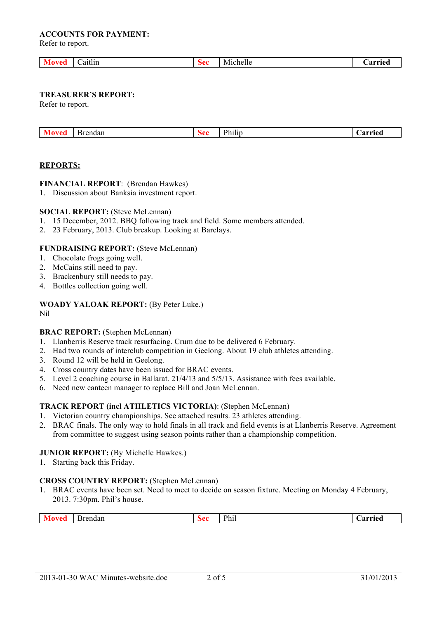#### **ACCOUNTS FOR PAYMENT:**

Refer to report.

| - -                     |          | .     | A 1111A |
|-------------------------|----------|-------|---------|
| aitlin<br>и г<br>$   -$ | $\bm{v}$ | enene |         |
|                         |          |       |         |

#### **TREASURER'S REPORT:**

Refer to report.

| 'rendan<br>VI O<br>,,, | $\alpha$<br>$\mathcal{F}$ | .<br><sup>p</sup> hilip | arried<br>$\overline{\phantom{a}}$ |
|------------------------|---------------------------|-------------------------|------------------------------------|
|------------------------|---------------------------|-------------------------|------------------------------------|

#### **REPORTS:**

#### **FINANCIAL REPORT**: (Brendan Hawkes)

1. Discussion about Banksia investment report.

## **SOCIAL REPORT:** (Steve McLennan)

- 1. 15 December, 2012. BBQ following track and field. Some members attended.
- 2. 23 February, 2013. Club breakup. Looking at Barclays.

#### **FUNDRAISING REPORT:** (Steve McLennan)

- 1. Chocolate frogs going well.
- 2. McCains still need to pay.
- 3. Brackenbury still needs to pay.
- 4. Bottles collection going well.

# **WOADY YALOAK REPORT:** (By Peter Luke.)

Nil

## **BRAC REPORT:** (Stephen McLennan)

- 1. Llanberris Reserve track resurfacing. Crum due to be delivered 6 February.
- 2. Had two rounds of interclub competition in Geelong. About 19 club athletes attending.
- 3. Round 12 will be held in Geelong.
- 4. Cross country dates have been issued for BRAC events.
- 5. Level 2 coaching course in Ballarat. 21/4/13 and 5/5/13. Assistance with fees available.
- 6. Need new canteen manager to replace Bill and Joan McLennan.

## **TRACK REPORT (incl ATHLETICS VICTORIA)**: (Stephen McLennan)

- 1. Victorian country championships. See attached results. 23 athletes attending.
- 2. BRAC finals. The only way to hold finals in all track and field events is at Llanberris Reserve. Agreement from committee to suggest using season points rather than a championship competition.

#### **JUNIOR REPORT:** (By Michelle Hawkes.)

1. Starting back this Friday.

## **CROSS COUNTRY REPORT:** (Stephen McLennan)

1. BRAC events have been set. Need to meet to decide on season fixture. Meeting on Monday 4 February, 2013. 7:30pm. Phil's house.

| $\overline{\phantom{a}}$<br>Brendan<br><b>Sec</b> | Phi | arried<br>$\mathbf{z}$ |
|---------------------------------------------------|-----|------------------------|
|---------------------------------------------------|-----|------------------------|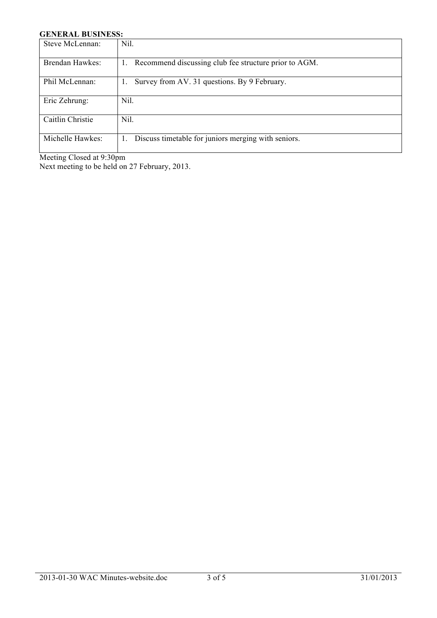## **GENERAL BUSINESS:**

| Steve McLennan:  | Nil.                                                        |
|------------------|-------------------------------------------------------------|
| Brendan Hawkes:  | Recommend discussing club fee structure prior to AGM.<br>1. |
| Phil McLennan:   | Survey from AV. 31 questions. By 9 February.<br>1.          |
| Eric Zehrung:    | Nil.                                                        |
| Caitlin Christie | Nil.                                                        |
| Michelle Hawkes: | Discuss timetable for juniors merging with seniors.         |

Meeting Closed at 9:30pm

Next meeting to be held on 27 February, 2013.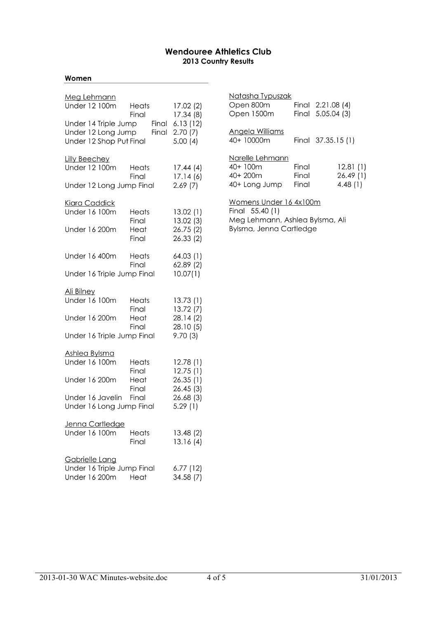## **Wendouree Athletics Club** 2013 Country Results

#### Women

| Meg Lehmann<br>Under 12 100m                                          | Heats<br>Final | 17.02 (2)                                   |
|-----------------------------------------------------------------------|----------------|---------------------------------------------|
| Under 14 Triple Jump<br>Under 12 Long Jump<br>Under 12 Shop Put Final | Final<br>Final | 17.34 (8)<br>6.13(12)<br>2.70(7)<br>5.00(4) |
| <u>Lilly Beechey</u><br>Under 12 100m                                 | Heats<br>Final | 17.44(4)<br>17.14(6)                        |
| Under 12 Long Jump Final                                              |                | 2.69(7)                                     |
| <u> Kiara Caddick</u><br>Under 16 100m                                | Heats<br>Final | 13.02(1)<br>13.02 (3)                       |
| Under 16 200m                                                         | Heat<br>Final  | 26.75 (2)<br>26.33(2)                       |
| Under 16 400m                                                         | Heats<br>Final | 64.03 (1)<br>62.89 (2)                      |
| Under 16 Triple Jump Final                                            |                | 10.07(1)                                    |
| Ali Bilney<br>Under 16 100m                                           | Heats<br>Final | 13.73(1)<br>13.72 (7)                       |
| Under 16 200m                                                         | Heat<br>Final  | 28.14 (2)<br>28.10 (5)                      |
| Under 16 Triple Jump Final                                            |                | 9.70(3)                                     |
| Ashlea Bylsma                                                         |                |                                             |
| Under 16 100m                                                         | Heats<br>Final | 12.78(1)<br>12.75(1)                        |
| Under 16 200m                                                         | Heat<br>Final  | 26.35(1)<br>26.45(3)                        |
| Under 16 Javelin                                                      | Final          | 26.68 (3)                                   |
| Under 16 Long Jump Final                                              |                | 5.29(1)                                     |
| <u>Jenna Cartledge</u><br>Under 16 100m                               | Heats<br>Final | 13.48 (2)<br>13.16(4)                       |
| Gabrielle Lang<br>Under 16 Triple Jump Final<br>Under 16 200m         | Heat           | 6.77 (12)<br>34.58 (7)                      |

| <u>Natasha Typuszak</u><br>Open 800m<br>Open 1500m         |                         | Final 2.21.08 (4)<br>Final 5.05.04 (3) |
|------------------------------------------------------------|-------------------------|----------------------------------------|
| Angela Williams<br>40+ 10000m                              |                         | Final 37.35.15 (1)                     |
| Narelle Lehmann<br>$40+100m$<br>$40+200m$<br>40+ Long Jump | Final<br>Final<br>Final | 12.81 (1)<br>26.49(1)<br>4.48 (1)      |
| Vomens Under 16 4x100                                      |                         |                                        |

Final 55.40 (1) Meg Lehmann, Ashlea Bylsma, Ali Bylsma, Jenna Cartledge